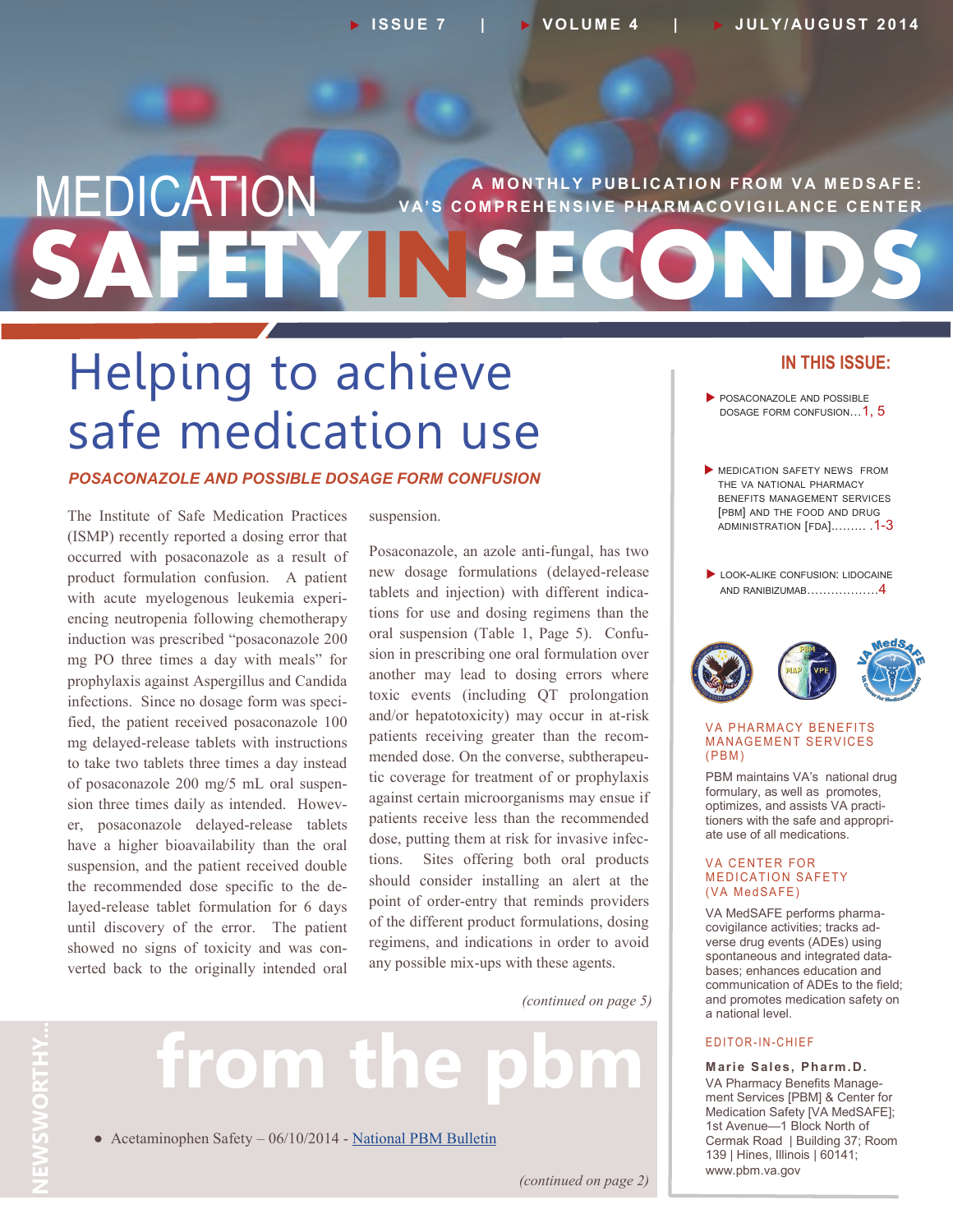### **SAFETYINSECONDS MEDICATION** VA'S COMPREHENSIVE PHARMACOVIGILANCE CENTER **VS COMPREHENSIVE PHARMACOVIGILANCE CENTER**

## Helping to achieve safe medication use

### *POSACONAZOLE AND POSSIBLE DOSAGE FORM CONFUSION*

The Institute of Safe Medication Practices (ISMP) recently reported a dosing error that occurred with posaconazole as a result of product formulation confusion. A patient with acute myelogenous leukemia experiencing neutropenia following chemotherapy induction was prescribed "posaconazole 200 mg PO three times a day with meals" for prophylaxis against Aspergillus and Candida infections. Since no dosage form was specified, the patient received posaconazole 100 mg delayed-release tablets with instructions to take two tablets three times a day instead of posaconazole 200 mg/5 mL oral suspension three times daily as intended. However, posaconazole delayed-release tablets have a higher bioavailability than the oral suspension, and the patient received double the recommended dose specific to the delayed-release tablet formulation for 6 days until discovery of the error. The patient showed no signs of toxicity and was converted back to the originally intended oral

suspension.

Posaconazole, an azole anti-fungal, has two new dosage formulations (delayed-release tablets and injection) with different indications for use and dosing regimens than the oral suspension (Table 1, Page 5). Confusion in prescribing one oral formulation over another may lead to dosing errors where toxic events (including QT prolongation and/or hepatotoxicity) may occur in at-risk patients receiving greater than the recommended dose. On the converse, subtherapeutic coverage for treatment of or prophylaxis against certain microorganisms may ensue if patients receive less than the recommended dose, putting them at risk for invasive infections. Sites offering both oral products should consider installing an alert at the point of order-entry that reminds providers of the different product formulations, dosing regimens, and indications in order to avoid any possible mix-ups with these agents.

*(continued on page 5)*

**NEWSWORTHY...** NEWSWORTHY.

## from the

• Acetaminophen Safety – 06/10/2014 - [National PBM Bulletin](http://www.pbm.va.gov/PBM/vacenterformedicationsafety/nationalpbmbulletin/Acetaminophen_Safety_NATIONAL_PBM_BULLETIN_061014_FINAL.pdf)

### **IN THIS ISSUE:**

- POSACONAZOLE AND POSSIBLE DOSAGE FORM CONFUSION... 1, 5
- **MEDICATION SAFETY NEWS FROM** THE VA NATIONAL PHARMACY BENEFITS MANAGEMENT SERVICES [PBM] AND THE FOOD AND DRUG ADMINISTRATION [FDA]..……. .1-3
- LOOK-ALIKE CONFUSION: LIDOCAINE AND RANIBIZUMAB………………4



#### **VA PHARMACY BENEFITS MANAGEMENT SERVICES**  $(PBM)$

PBM maintains VA's national drug formulary, as well as promotes, optimizes, and assists VA practitioners with the safe and appropriate use of all medications.

#### **VA CENTER FOR MEDICATION SAFETY** (VA MedSAFE)

VA MedSAFE performs pharmacovigilance activities; tracks adverse drug events (ADEs) using spontaneous and integrated databases; enhances education and communication of ADEs to the field; and promotes medication safety on a national level.

### E DITOR-IN-CHIEF

**Marie Sales, Pharm.D.** VA Pharmacy Benefits Management Services [PBM] & Center for Medication Safety [VA MedSAFE]; 1st Avenue—1 Block North of Cermak Road | Building 37; Room 139 | Hines, Illinois | 60141; www.pbm.va.gov

*(continued on page 2)*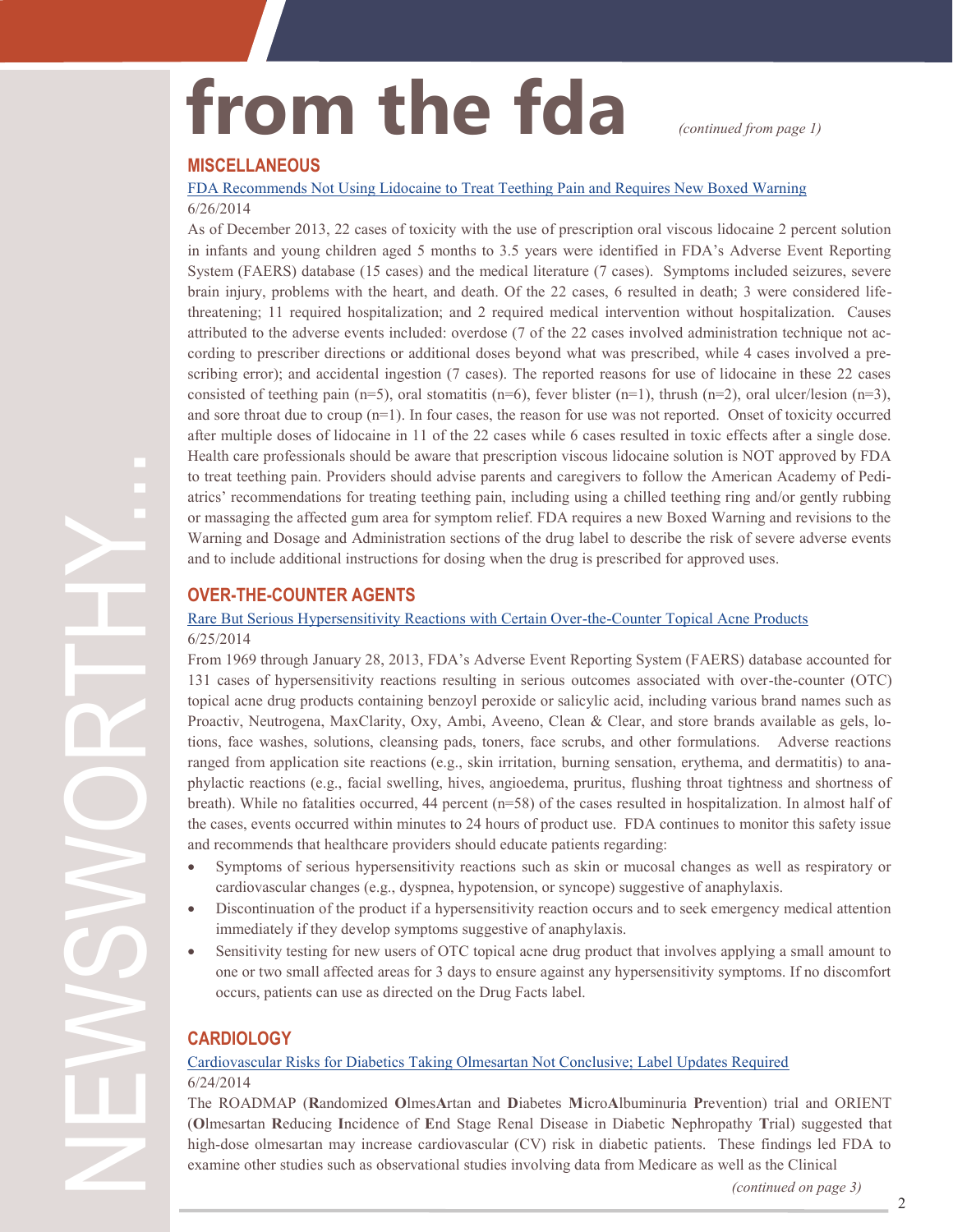## from the fda *continued from page 1)*

**MISCELLANEOUS**

### [FDA Recommends Not Using Lidocaine to Treat Teething Pain and Requires New Boxed Warning](http://www.fda.gov/Drugs/DrugSafety/ucm402240.htm) 6/26/2014

As of December 2013, 22 cases of toxicity with the use of prescription oral viscous lidocaine 2 percent solution in infants and young children aged 5 months to 3.5 years were identified in FDA's Adverse Event Reporting System (FAERS) database (15 cases) and the medical literature (7 cases). Symptoms included seizures, severe brain injury, problems with the heart, and death. Of the 22 cases, 6 resulted in death; 3 were considered lifethreatening; 11 required hospitalization; and 2 required medical intervention without hospitalization. Causes attributed to the adverse events included: overdose (7 of the 22 cases involved administration technique not according to prescriber directions or additional doses beyond what was prescribed, while 4 cases involved a prescribing error); and accidental ingestion (7 cases). The reported reasons for use of lidocaine in these 22 cases consisted of teething pain (n=5), oral stomatitis (n=6), fever blister (n=1), thrush (n=2), oral ulcer/lesion (n=3), and sore throat due to croup (n=1). In four cases, the reason for use was not reported. Onset of toxicity occurred after multiple doses of lidocaine in 11 of the 22 cases while 6 cases resulted in toxic effects after a single dose. Health care professionals should be aware that prescription viscous lidocaine solution is NOT approved by FDA to treat teething pain. Providers should advise parents and caregivers to follow the American Academy of Pediatrics' recommendations for treating teething pain, including using a chilled teething ring and/or gently rubbing or massaging the affected gum area for symptom relief. FDA requires a new Boxed Warning and revisions to the Warning and Dosage and Administration sections of the drug label to describe the risk of severe adverse events and to include additional instructions for dosing when the drug is prescribed for approved uses.

### **OVER-THE-COUNTER AGENTS**

### [Rare But Serious Hypersensitivity Reactions with Certain Over](http://www.fda.gov/Drugs/DrugSafety/ucm400923.htm)-the-Counter Topical Acne Products 6/25/2014

From 1969 through January 28, 2013, FDA's Adverse Event Reporting System (FAERS) database accounted for 131 cases of hypersensitivity reactions resulting in serious outcomes associated with over-the-counter (OTC) topical acne drug products containing benzoyl peroxide or salicylic acid, including various brand names such as Proactiv, Neutrogena, MaxClarity, Oxy, Ambi, Aveeno, Clean & Clear, and store brands available as gels, lotions, face washes, solutions, cleansing pads, toners, face scrubs, and other formulations. Adverse reactions ranged from application site reactions (e.g., skin irritation, burning sensation, erythema, and dermatitis) to anaphylactic reactions (e.g., facial swelling, hives, angioedema, pruritus, flushing throat tightness and shortness of breath). While no fatalities occurred, 44 percent (n=58) of the cases resulted in hospitalization. In almost half of the cases, events occurred within minutes to 24 hours of product use. FDA continues to monitor this safety issue and recommends that healthcare providers should educate patients regarding:

- Symptoms of serious hypersensitivity reactions such as skin or mucosal changes as well as respiratory or cardiovascular changes (e.g., dyspnea, hypotension, or syncope) suggestive of anaphylaxis.
- Discontinuation of the product if a hypersensitivity reaction occurs and to seek emergency medical attention immediately if they develop symptoms suggestive of anaphylaxis.
- Sensitivity testing for new users of OTC topical acne drug product that involves applying a small amount to one or two small affected areas for 3 days to ensure against any hypersensitivity symptoms. If no discomfort occurs, patients can use as directed on the Drug Facts label.

### **CARDIOLOGY**

### [Cardiovascular Risks for Diabetics Taking Olmesartan Not Conclusive; Label Updates Required](http://www.fda.gov/Drugs/DrugSafety/ucm402323.htm) 6/24/2014

The ROADMAP (**R**andomized **O**lmes**A**rtan and **D**iabetes **M**icro**A**lbuminuria **P**revention) trial and ORIENT (**O**lmesartan **R**educing **I**ncidence of **E**nd Stage Renal Disease in Diabetic **N**ephropathy **T**rial) suggested that high-dose olmesartan may increase cardiovascular (CV) risk in diabetic patients. These findings led FDA to examine other studies such as observational studies involving data from Medicare as well as the Clinical

*(continued on page 3)*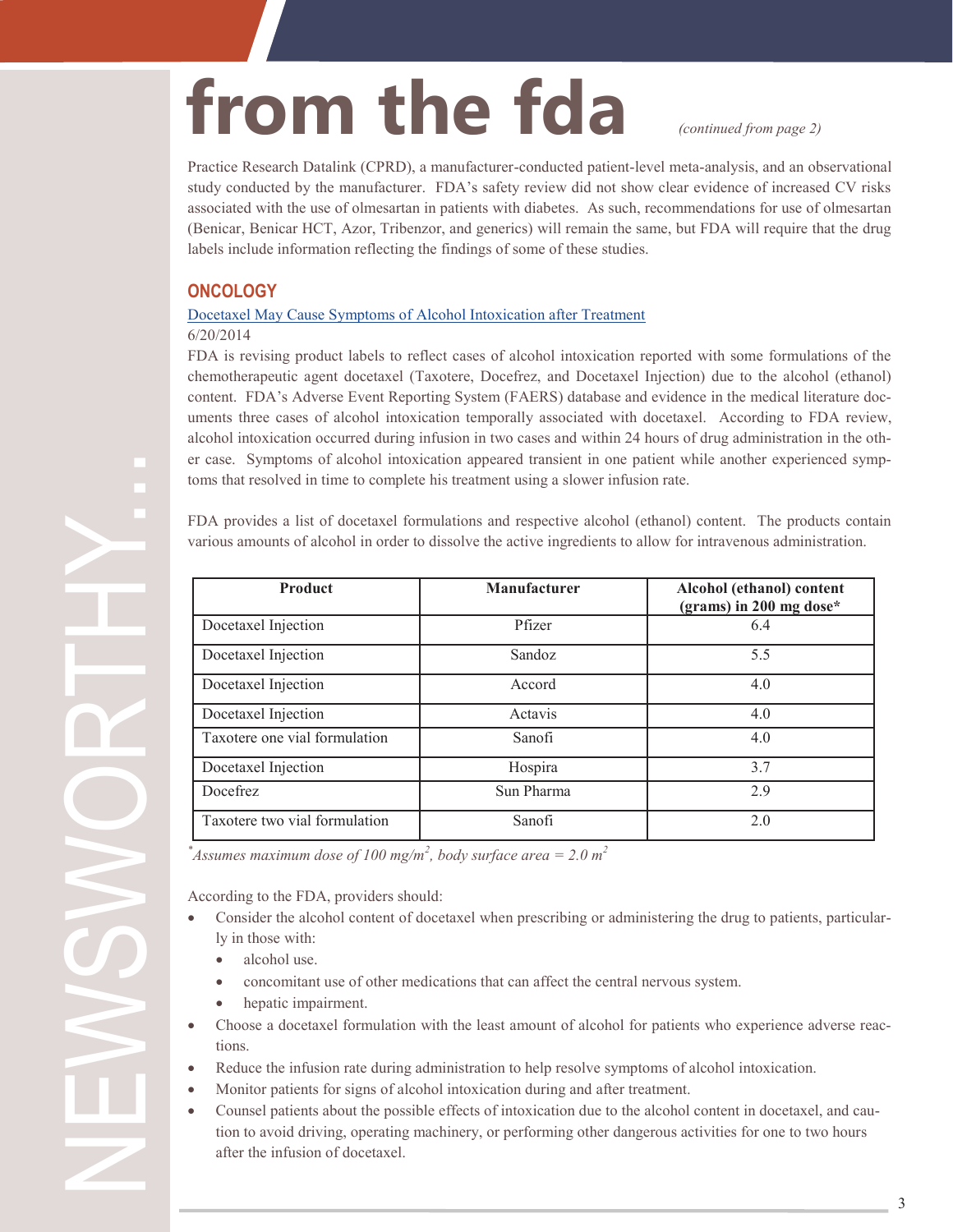# from the fda *continued from page 2*

Practice Research Datalink (CPRD), a manufacturer-conducted patient-level meta-analysis, and an observational study conducted by the manufacturer. FDA's safety review did not show clear evidence of increased CV risks associated with the use of olmesartan in patients with diabetes. As such, recommendations for use of olmesartan (Benicar, Benicar HCT, Azor, Tribenzor, and generics) will remain the same, but FDA will require that the drug labels include information reflecting the findings of some of these studies.

### **ONCOLOGY**

### [Docetaxel May Cause Symptoms of Alcohol Intoxication after Treatment](http://www.fda.gov/Drugs/DrugSafety/ucm401752.htm)

### 6/20/2014

FDA is revising product labels to reflect cases of alcohol intoxication reported with some formulations of the chemotherapeutic agent docetaxel (Taxotere, Docefrez, and Docetaxel Injection) due to the alcohol (ethanol) content. FDA's Adverse Event Reporting System (FAERS) database and evidence in the medical literature documents three cases of alcohol intoxication temporally associated with docetaxel. According to FDA review, alcohol intoxication occurred during infusion in two cases and within 24 hours of drug administration in the other case. Symptoms of alcohol intoxication appeared transient in one patient while another experienced symptoms that resolved in time to complete his treatment using a slower infusion rate.

FDA provides a list of docetaxel formulations and respective alcohol (ethanol) content. The products contain various amounts of alcohol in order to dissolve the active ingredients to allow for intravenous administration.

| <b>Product</b>                | Manufacturer | Alcohol (ethanol) content<br>(grams) in 200 mg dose* |
|-------------------------------|--------------|------------------------------------------------------|
| Docetaxel Injection           | Pfizer       | 6.4                                                  |
| Docetaxel Injection           | Sandoz       | 5.5                                                  |
| Docetaxel Injection           | Accord       | 4.0                                                  |
| Docetaxel Injection           | Actavis      | 4.0                                                  |
| Taxotere one vial formulation | Sanofi       | 4.0                                                  |
| Docetaxel Injection           | Hospira      | 3.7                                                  |
| Docefrez                      | Sun Pharma   | 2.9                                                  |
| Taxotere two vial formulation | Sanofi       | 2.0                                                  |

 $*$ *Assumes maximum dose of 100 mg/m<sup>2</sup>, body surface area* = 2.0 m<sup>2</sup>

According to the FDA, providers should:

- Consider the alcohol content of docetaxel when prescribing or administering the drug to patients, particularly in those with:
	- alcohol use.
	- concomitant use of other medications that can affect the central nervous system.
	- hepatic impairment.
- Choose a docetaxel formulation with the least amount of alcohol for patients who experience adverse reactions.
- Reduce the infusion rate during administration to help resolve symptoms of alcohol intoxication.
- Monitor patients for signs of alcohol intoxication during and after treatment.
- Counsel patients about the possible effects of intoxication due to the alcohol content in docetaxel, and caution to avoid driving, operating machinery, or performing other dangerous activities for one to two hours after the infusion of docetaxel.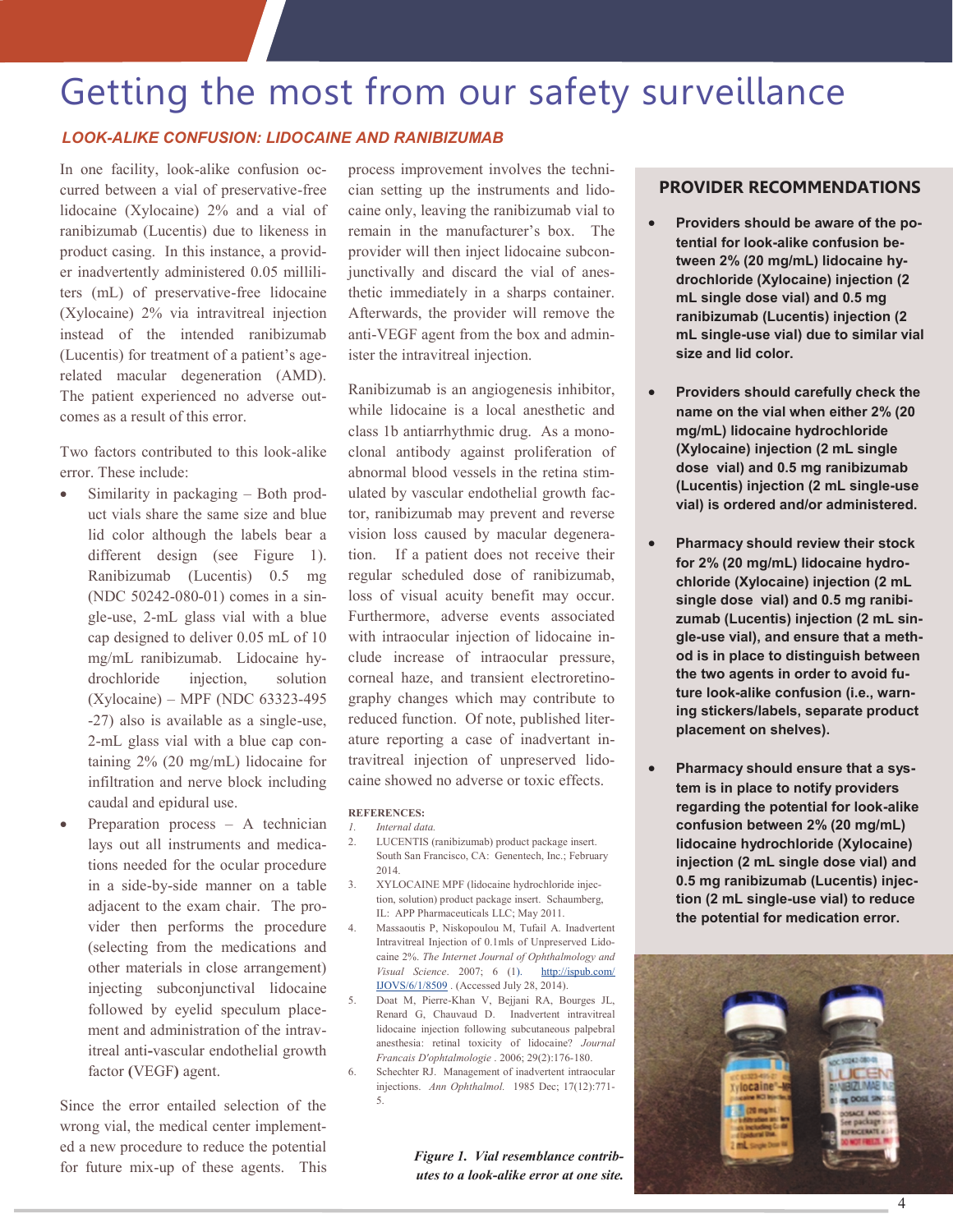### Getting the most from our safety surveillance

### *LOOK-ALIKE CONFUSION: LIDOCAINE AND RANIBIZUMAB*

In one facility, look-alike confusion occurred between a vial of preservative-free lidocaine (Xylocaine) 2% and a vial of ranibizumab (Lucentis) due to likeness in product casing. In this instance, a provider inadvertently administered 0.05 milliliters (mL) of preservative-free lidocaine (Xylocaine) 2% via intravitreal injection instead of the intended ranibizumab (Lucentis) for treatment of a patient's agerelated macular degeneration (AMD). The patient experienced no adverse outcomes as a result of this error.

Two factors contributed to this look-alike error. These include:

- Similarity in packaging Both product vials share the same size and blue lid color although the labels bear a different design (see Figure 1). Ranibizumab (Lucentis) 0.5 mg (NDC 50242-080-01) comes in a single-use, 2-mL glass vial with a blue cap designed to deliver 0.05 mL of 10 mg/mL ranibizumab. Lidocaine hydrochloride injection, solution (Xylocaine) – MPF (NDC 63323-495 -27) also is available as a single-use, 2-mL glass vial with a blue cap containing 2% (20 mg/mL) lidocaine for infiltration and nerve block including caudal and epidural use.
- Preparation process A technician lays out all instruments and medications needed for the ocular procedure in a side-by-side manner on a table adjacent to the exam chair. The provider then performs the procedure (selecting from the medications and other materials in close arrangement) injecting subconjunctival lidocaine followed by eyelid speculum placement and administration of the intravitreal anti**-**vascular endothelial growth factor **(**VEGF**)** agent.

Since the error entailed selection of the wrong vial, the medical center implemented a new procedure to reduce the potential for future mix-up of these agents. This

process improvement involves the technician setting up the instruments and lidocaine only, leaving the ranibizumab vial to remain in the manufacturer's box. The provider will then inject lidocaine subconjunctivally and discard the vial of anesthetic immediately in a sharps container. Afterwards, the provider will remove the anti-VEGF agent from the box and administer the intravitreal injection.

Ranibizumab is an angiogenesis inhibitor, while lidocaine is a local anesthetic and class 1b antiarrhythmic drug. As a monoclonal antibody against proliferation of abnormal blood vessels in the retina stimulated by vascular endothelial growth factor, ranibizumab may prevent and reverse vision loss caused by macular degeneration. If a patient does not receive their regular scheduled dose of ranibizumab, loss of visual acuity benefit may occur. Furthermore, adverse events associated with intraocular injection of lidocaine include increase of intraocular pressure, corneal haze, and transient electroretinography changes which may contribute to reduced function. Of note, published literature reporting a case of inadvertant intravitreal injection of unpreserved lidocaine showed no adverse or toxic effects.

#### **REFERENCES:**

- *1. Internal data.*
- 2. LUCENTIS (ranibizumab) product package insert. South San Francisco, CA: Genentech, Inc.; February 2014.
- 3. XYLOCAINE MPF (lidocaine hydrochloride injection, solution) product package insert. Schaumberg, IL: APP Pharmaceuticals LLC; May 2011.
- 4. Massaoutis P, Niskopoulou M, Tufail A. Inadvertent Intravitreal Injection of 0.1mls of Unpreserved Lidocaine 2%. *The Internet Journal of Ophthalmology and Visual Science*. 2007; 6 (1). [http://ispub.com/](http://ispub.com/IJOVS/6/1/8509) [IJOVS/6/1/8509](http://ispub.com/IJOVS/6/1/8509) . (Accessed July 28, 2014).
- 5. Doat M, Pierre-Khan V, Bejjani RA, Bourges JL, Renard G, Chauvaud D. Inadvertent intravitreal lidocaine injection following subcutaneous palpebral anesthesia: retinal toxicity of lidocaine? *Journal Francais D'ophtalmologie* . 2006; 29(2):176-180.
- 6. Schechter RJ. Management of inadvertent intraocular injections. *Ann Ophthalmol.* 1985 Dec; 17(12):771- 5.

*Figure 1. Vial resemblance contributes to a look-alike error at one site.*

### **PROVIDER RECOMMENDATIONS**

- **Providers should be aware of the potential for look-alike confusion between 2% (20 mg/mL) lidocaine hydrochloride (Xylocaine) injection (2 mL single dose vial) and 0.5 mg ranibizumab (Lucentis) injection (2 mL single-use vial) due to similar vial size and lid color.**
- **Providers should carefully check the name on the vial when either 2% (20 mg/mL) lidocaine hydrochloride (Xylocaine) injection (2 mL single dose vial) and 0.5 mg ranibizumab (Lucentis) injection (2 mL single-use vial) is ordered and/or administered.**
- **Pharmacy should review their stock for 2% (20 mg/mL) lidocaine hydrochloride (Xylocaine) injection (2 mL single dose vial) and 0.5 mg ranibizumab (Lucentis) injection (2 mL single-use vial), and ensure that a method is in place to distinguish between the two agents in order to avoid future look-alike confusion (i.e., warning stickers/labels, separate product placement on shelves).**
- **Pharmacy should ensure that a system is in place to notify providers regarding the potential for look-alike confusion between 2% (20 mg/mL) lidocaine hydrochloride (Xylocaine) injection (2 mL single dose vial) and 0.5 mg ranibizumab (Lucentis) injection (2 mL single-use vial) to reduce the potential for medication error.**